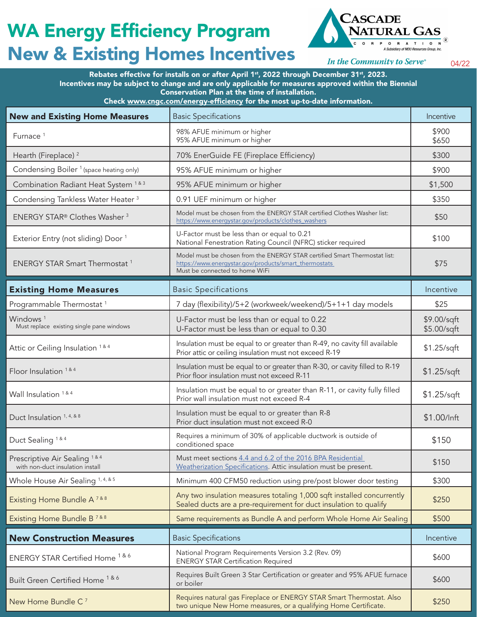## WA Energy Efficiency Program New & Existing Homes Incentives



In the Community to Serve®

04/22

Rebates effective for installs on or after April 1st, 2022 through December 31st, 2023. Incentives may be subject to change and are only applicable for measures approved within the Biennial Conservation Plan at the time of installation.

Check www.cngc.com/energy-efficiency for the most up-to-date information.

| <b>New and Existing Home Measures</b>                                           | <b>Basic Specifications</b>                                                                                                                                           | Incentive                  |
|---------------------------------------------------------------------------------|-----------------------------------------------------------------------------------------------------------------------------------------------------------------------|----------------------------|
| Furnace <sup>1</sup>                                                            | 98% AFUE minimum or higher<br>95% AFUE minimum or higher                                                                                                              | \$900<br>\$650             |
| Hearth (Fireplace) <sup>2</sup>                                                 | 70% EnerGuide FE (Fireplace Efficiency)                                                                                                                               | \$300                      |
| Condensing Boiler <sup>1</sup> (space heating only)                             | 95% AFUE minimum or higher                                                                                                                                            | \$900                      |
| Combination Radiant Heat System <sup>1&amp;3</sup>                              | 95% AFUE minimum or higher                                                                                                                                            | \$1,500                    |
| Condensing Tankless Water Heater <sup>3</sup>                                   | 0.91 UEF minimum or higher                                                                                                                                            | \$350                      |
| ENERGY STAR® Clothes Washer <sup>3</sup>                                        | Model must be chosen from the ENERGY STAR certified Clothes Washer list:<br>https://www.energystar.gov/products/clothes_washers                                       | \$50                       |
| Exterior Entry (not sliding) Door <sup>1</sup>                                  | U-Factor must be less than or equal to 0.21<br>National Fenestration Rating Council (NFRC) sticker required                                                           | \$100                      |
| <b>ENERGY STAR Smart Thermostat 1</b>                                           | Model must be chosen from the ENERGY STAR certified Smart Thermostat list:<br>https://www.energystar.gov/products/smart_thermostats<br>Must be connected to home WiFi | \$75                       |
| <b>Existing Home Measures</b>                                                   | <b>Basic Specifications</b>                                                                                                                                           | Incentive                  |
| Programmable Thermostat <sup>1</sup>                                            | 7 day (flexibility)/5+2 (workweek/weekend)/5+1+1 day models                                                                                                           | \$25                       |
| Windows <sup>1</sup><br>Must replace existing single pane windows               | U-Factor must be less than or equal to 0.22<br>U-Factor must be less than or equal to 0.30                                                                            | \$9.00/sqft<br>\$5.00/sqft |
| Attic or Ceiling Insulation 1&4                                                 | Insulation must be equal to or greater than R-49, no cavity fill available<br>Prior attic or ceiling insulation must not exceed R-19                                  | \$1.25/sqft                |
| Floor Insulation <sup>1&amp;4</sup>                                             | Insulation must be equal to or greater than R-30, or cavity filled to R-19<br>Prior floor insulation must not exceed R-11                                             | $$1.25$ /sqft              |
| Wall Insulation 1 & 4                                                           | Insulation must be equal to or greater than R-11, or cavity fully filled<br>Prior wall insulation must not exceed R-4                                                 | $$1.25$ /sqft              |
| Duct Insulation <sup>1, 4, &amp; 8</sup>                                        | Insulation must be equal to or greater than R-8<br>Prior duct insulation must not exceed R-0                                                                          | \$1.00/Inft                |
| Duct Sealing <sup>1&amp;4</sup>                                                 | Requires a minimum of 30% of applicable ductwork is outside of<br>conditioned space                                                                                   | \$150                      |
| Prescriptive Air Sealing <sup>1&amp;4</sup><br>with non-duct insulation install | Must meet sections 4.4 and 6.2 of the 2016 BPA Residential<br>Weatherization Specifications. Attic insulation must be present.                                        | \$150                      |
| Whole House Air Sealing <sup>1, 4, &amp; 5</sup>                                | Minimum 400 CFM50 reduction using pre/post blower door testing                                                                                                        | \$300                      |
| Existing Home Bundle A <sup>7&amp;8</sup>                                       | Any two insulation measures totaling 1,000 sqft installed concurrently<br>Sealed ducts are a pre-requirement for duct insulation to qualify                           | \$250                      |
| Existing Home Bundle B <sup>7&amp;8</sup>                                       | Same requirements as Bundle A and perform Whole Home Air Sealing                                                                                                      | \$500                      |
| <b>New Construction Measures</b>                                                | <b>Basic Specifications</b>                                                                                                                                           | Incentive                  |
| ENERGY STAR Certified Home <sup>1&amp;6</sup>                                   | National Program Requirements Version 3.2 (Rev. 09)<br><b>ENERGY STAR Certification Required</b>                                                                      | \$600                      |
| Built Green Certified Home <sup>1&amp;6</sup>                                   | Requires Built Green 3 Star Certification or greater and 95% AFUE furnace<br>or boiler                                                                                | \$600                      |
| New Home Bundle C <sup>7</sup>                                                  | Requires natural gas Fireplace or ENERGY STAR Smart Thermostat. Also<br>two unique New Home measures, or a qualifying Home Certificate.                               | \$250                      |